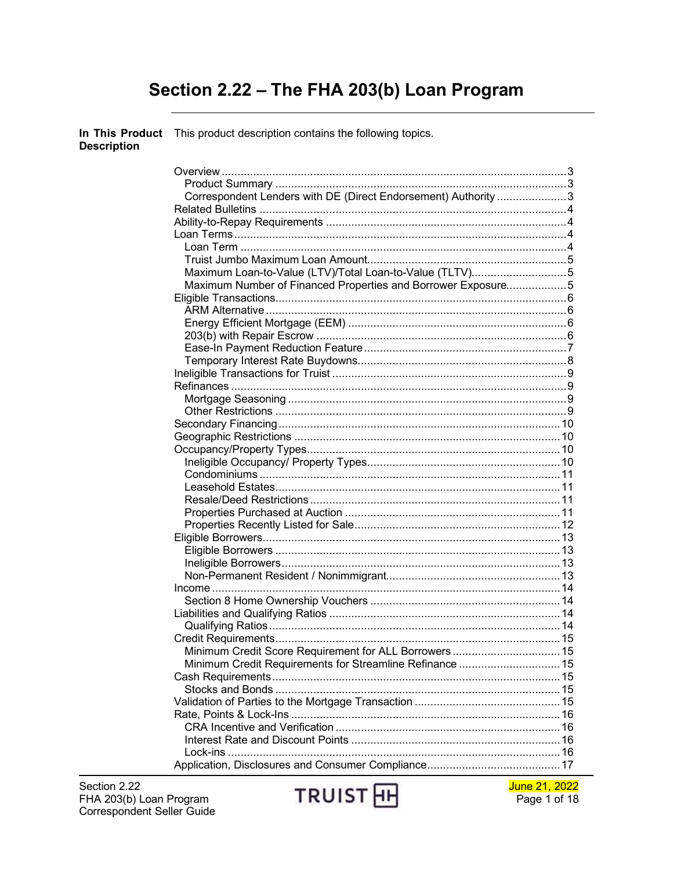# Section 2.22 - The FHA 203(b) Loan Program

In This Product This product description contains the following topics. **Description** 

| Correspondent Lenders with DE (Direct Endorsement) Authority 3 |  |
|----------------------------------------------------------------|--|
|                                                                |  |
|                                                                |  |
|                                                                |  |
|                                                                |  |
|                                                                |  |
| Maximum Loan-to-Value (LTV)/Total Loan-to-Value (TLTV)5        |  |
| Maximum Number of Financed Properties and Borrower Exposure5   |  |
|                                                                |  |
|                                                                |  |
|                                                                |  |
|                                                                |  |
|                                                                |  |
|                                                                |  |
|                                                                |  |
|                                                                |  |
|                                                                |  |
|                                                                |  |
|                                                                |  |
|                                                                |  |
|                                                                |  |
|                                                                |  |
|                                                                |  |
|                                                                |  |
|                                                                |  |
|                                                                |  |
|                                                                |  |
|                                                                |  |
|                                                                |  |
|                                                                |  |
|                                                                |  |
|                                                                |  |
|                                                                |  |
|                                                                |  |
|                                                                |  |
| Minimum Credit Score Requirement for ALL Borrowers 15          |  |
| Minimum Credit Requirements for Streamline Refinance  15       |  |
|                                                                |  |
|                                                                |  |
|                                                                |  |
|                                                                |  |
|                                                                |  |
|                                                                |  |
|                                                                |  |
|                                                                |  |
|                                                                |  |



June 21, 2022 Page 1 of 18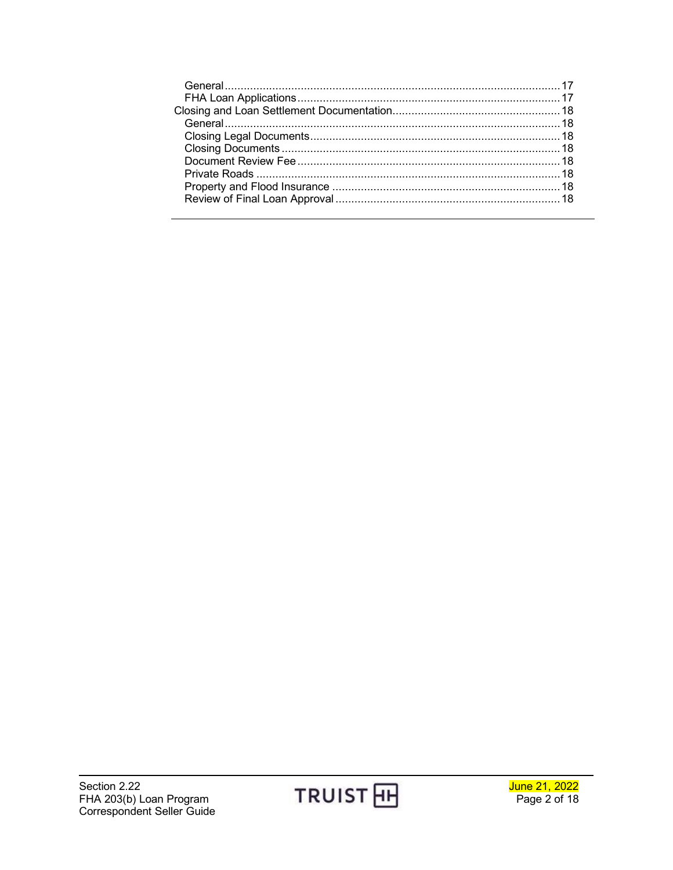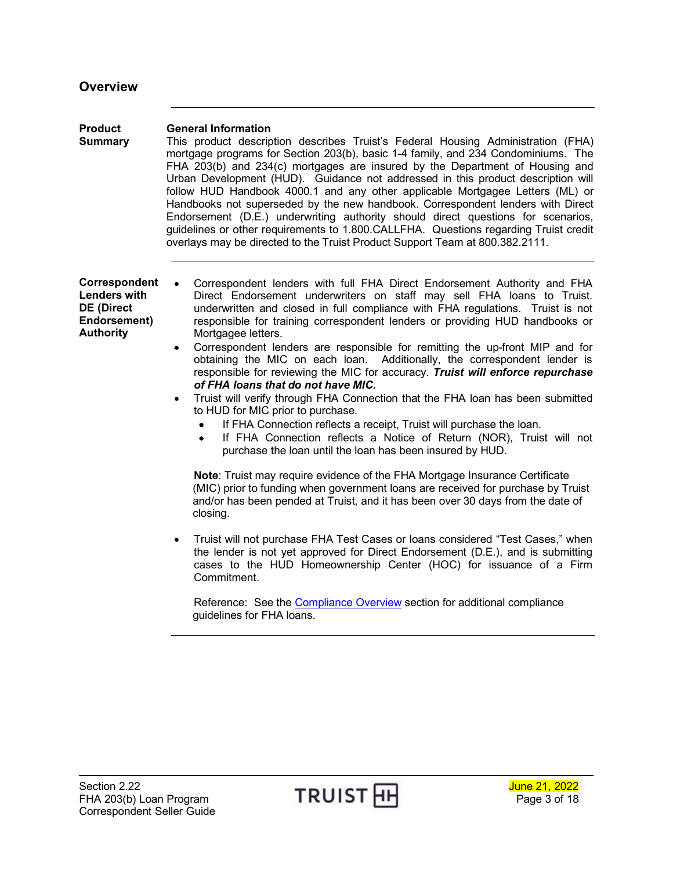<span id="page-2-2"></span><span id="page-2-1"></span><span id="page-2-0"></span>

| <b>Product</b><br><b>Summary</b>                                                              | <b>General Information</b><br>This product description describes Truist's Federal Housing Administration (FHA)<br>mortgage programs for Section 203(b), basic 1-4 family, and 234 Condominiums. The<br>FHA 203(b) and 234(c) mortgages are insured by the Department of Housing and<br>Urban Development (HUD). Guidance not addressed in this product description will<br>follow HUD Handbook 4000.1 and any other applicable Mortgagee Letters (ML) or<br>Handbooks not superseded by the new handbook. Correspondent lenders with Direct<br>Endorsement (D.E.) underwriting authority should direct questions for scenarios,<br>guidelines or other requirements to 1.800.CALLFHA. Questions regarding Truist credit<br>overlays may be directed to the Truist Product Support Team at 800.382.2111.                                                                                                                                                                                                                                                                                                                                                                                                                                                                                                                                                                                                                                                                                                                                                                                                                                                      |
|-----------------------------------------------------------------------------------------------|--------------------------------------------------------------------------------------------------------------------------------------------------------------------------------------------------------------------------------------------------------------------------------------------------------------------------------------------------------------------------------------------------------------------------------------------------------------------------------------------------------------------------------------------------------------------------------------------------------------------------------------------------------------------------------------------------------------------------------------------------------------------------------------------------------------------------------------------------------------------------------------------------------------------------------------------------------------------------------------------------------------------------------------------------------------------------------------------------------------------------------------------------------------------------------------------------------------------------------------------------------------------------------------------------------------------------------------------------------------------------------------------------------------------------------------------------------------------------------------------------------------------------------------------------------------------------------------------------------------------------------------------------------------|
| Correspondent<br><b>Lenders with</b><br><b>DE (Direct</b><br>Endorsement)<br><b>Authority</b> | Correspondent lenders with full FHA Direct Endorsement Authority and FHA<br>Direct Endorsement underwriters on staff may sell FHA loans to Truist.<br>underwritten and closed in full compliance with FHA regulations. Truist is not<br>responsible for training correspondent lenders or providing HUD handbooks or<br>Mortgagee letters.<br>Correspondent lenders are responsible for remitting the up-front MIP and for<br>$\bullet$<br>obtaining the MIC on each loan. Additionally, the correspondent lender is<br>responsible for reviewing the MIC for accuracy. Truist will enforce repurchase<br>of FHA loans that do not have MIC.<br>Truist will verify through FHA Connection that the FHA loan has been submitted<br>$\bullet$<br>to HUD for MIC prior to purchase.<br>If FHA Connection reflects a receipt, Truist will purchase the loan.<br>If FHA Connection reflects a Notice of Return (NOR), Truist will not<br>$\bullet$<br>purchase the loan until the loan has been insured by HUD.<br>Note: Truist may require evidence of the FHA Mortgage Insurance Certificate<br>(MIC) prior to funding when government loans are received for purchase by Truist<br>and/or has been pended at Truist, and it has been over 30 days from the date of<br>closing.<br>Truist will not purchase FHA Test Cases or loans considered "Test Cases," when<br>$\bullet$<br>the lender is not yet approved for Direct Endorsement (D.E.), and is submitting<br>cases to the HUD Homeownership Center (HOC) for issuance of a Firm<br>Commitment.<br>Reference: See the Compliance Overview section for additional compliance<br>guidelines for FHA loans. |

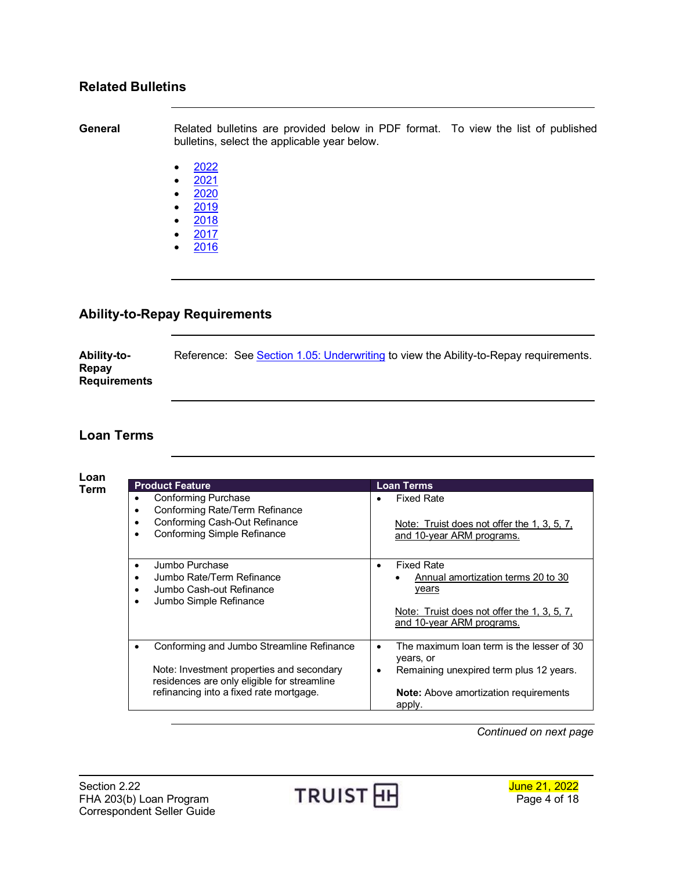### <span id="page-3-0"></span>**Related Bulletins**

**General** Related bulletins are provided below in PDF format. To view the list of published bulletins, select the applicable year below.

- $2022$  $2022$
- $2021$  $2021$
- [2020](http://www.truistsellerguide.com/manual/cor/bulletins/Related%20Bulletins/2020/CFHA2020.pdf)
- [2019](http://www.truistsellerguide.com/manual/cor/bulletins/Related%20Bulletins/2019/CFHA2019.pdf)
- [2018](http://www.truistsellerguide.com/manual/cor/bulletins/Related%20Bulletins/2018/CFHA2018.pdf)
- [2017](http://www.truistsellerguide.com/manual/cor/bulletins/Related%20Bulletins/2017/CFHA2017.pdf)
- [2016](http://www.truistsellerguide.com/manual/cor/bulletins/Related%20Bulletins/2016/CFHA2016.pdf)

## <span id="page-3-1"></span>**Ability-to-Repay Requirements**

**Ability-to-Repay Requirements** Reference: See [Section 1.05: Underwriting](https://www.truistsellerguide.com/manual/cor/general/1.05Underwriting.pdf) to view the Ability-to-Repay requirements.

## <span id="page-3-2"></span>**Loan Terms**

<span id="page-3-3"></span>**Loan** 

| <b>Product Feature</b>                                                                                                                                                           | <b>Loan Terms</b>                                                                                                                                                             |
|----------------------------------------------------------------------------------------------------------------------------------------------------------------------------------|-------------------------------------------------------------------------------------------------------------------------------------------------------------------------------|
| <b>Conforming Purchase</b><br>٠<br>Conforming Rate/Term Refinance<br>Conforming Cash-Out Refinance<br>٠<br><b>Conforming Simple Refinance</b>                                    | <b>Fixed Rate</b><br>Note: Truist does not offer the 1, 3, 5, 7,<br>and 10-year ARM programs.                                                                                 |
| Jumbo Purchase<br>$\bullet$<br>Jumbo Rate/Term Refinance<br>$\bullet$<br>Jumbo Cash-out Refinance<br>$\bullet$<br>Jumbo Simple Refinance<br>$\bullet$                            | <b>Fixed Rate</b><br>$\bullet$<br>Annual amortization terms 20 to 30<br>years<br>Note: Truist does not offer the 1, 3, 5, 7,<br>and 10-year ARM programs.                     |
| Conforming and Jumbo Streamline Refinance<br>Note: Investment properties and secondary<br>residences are only eligible for streamline<br>refinancing into a fixed rate mortgage. | The maximum loan term is the lesser of 30<br>$\bullet$<br>years, or<br>Remaining unexpired term plus 12 years.<br>٠<br><b>Note:</b> Above amortization requirements<br>apply. |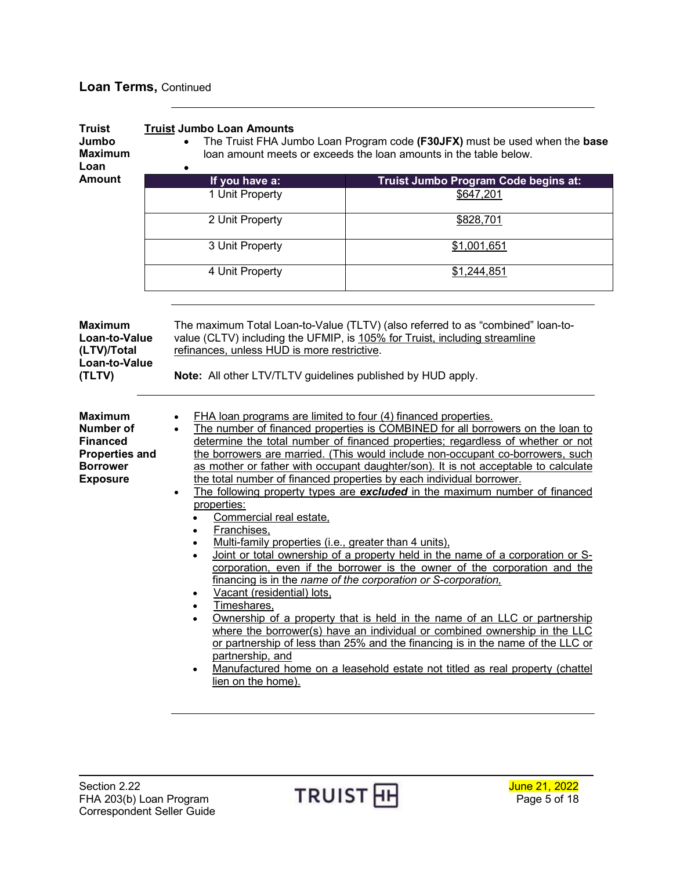## **Loan Terms,** Continued

<span id="page-4-2"></span><span id="page-4-1"></span><span id="page-4-0"></span>

| <b>Truist</b><br>Jumbo<br><b>Maximum</b><br>Loan                                                              | <b>Truist Jumbo Loan Amounts</b><br>٠                                                                                                                                                                                                                                                                                                                                                                                                                                                                                                                                                                                                                                                                                                                                                                                                                                                                                                                                                                                                                                                                                                                                                                                                                                                                                                                                                              | The Truist FHA Jumbo Loan Program code (F30JFX) must be used when the base<br>loan amount meets or exceeds the loan amounts in the table below. |  |  |
|---------------------------------------------------------------------------------------------------------------|----------------------------------------------------------------------------------------------------------------------------------------------------------------------------------------------------------------------------------------------------------------------------------------------------------------------------------------------------------------------------------------------------------------------------------------------------------------------------------------------------------------------------------------------------------------------------------------------------------------------------------------------------------------------------------------------------------------------------------------------------------------------------------------------------------------------------------------------------------------------------------------------------------------------------------------------------------------------------------------------------------------------------------------------------------------------------------------------------------------------------------------------------------------------------------------------------------------------------------------------------------------------------------------------------------------------------------------------------------------------------------------------------|-------------------------------------------------------------------------------------------------------------------------------------------------|--|--|
| <b>Amount</b>                                                                                                 | If you have a:                                                                                                                                                                                                                                                                                                                                                                                                                                                                                                                                                                                                                                                                                                                                                                                                                                                                                                                                                                                                                                                                                                                                                                                                                                                                                                                                                                                     | Truist Jumbo Program Code begins at:                                                                                                            |  |  |
|                                                                                                               | 1 Unit Property                                                                                                                                                                                                                                                                                                                                                                                                                                                                                                                                                                                                                                                                                                                                                                                                                                                                                                                                                                                                                                                                                                                                                                                                                                                                                                                                                                                    | \$647,201                                                                                                                                       |  |  |
|                                                                                                               | 2 Unit Property                                                                                                                                                                                                                                                                                                                                                                                                                                                                                                                                                                                                                                                                                                                                                                                                                                                                                                                                                                                                                                                                                                                                                                                                                                                                                                                                                                                    | \$828,701                                                                                                                                       |  |  |
|                                                                                                               | 3 Unit Property                                                                                                                                                                                                                                                                                                                                                                                                                                                                                                                                                                                                                                                                                                                                                                                                                                                                                                                                                                                                                                                                                                                                                                                                                                                                                                                                                                                    | \$1,001,651                                                                                                                                     |  |  |
|                                                                                                               | 4 Unit Property                                                                                                                                                                                                                                                                                                                                                                                                                                                                                                                                                                                                                                                                                                                                                                                                                                                                                                                                                                                                                                                                                                                                                                                                                                                                                                                                                                                    | \$1,244,851                                                                                                                                     |  |  |
| <b>Maximum</b><br>Loan-to-Value<br>(LTV)/Total<br>Loan-to-Value<br>(TLTV)                                     | The maximum Total Loan-to-Value (TLTV) (also referred to as "combined" loan-to-<br>value (CLTV) including the UFMIP, is 105% for Truist, including streamline<br>refinances, unless HUD is more restrictive.<br>Note: All other LTV/TLTV guidelines published by HUD apply.                                                                                                                                                                                                                                                                                                                                                                                                                                                                                                                                                                                                                                                                                                                                                                                                                                                                                                                                                                                                                                                                                                                        |                                                                                                                                                 |  |  |
| <b>Maximum</b><br>Number of<br><b>Financed</b><br><b>Properties and</b><br><b>Borrower</b><br><b>Exposure</b> | FHA loan programs are limited to four (4) financed properties.<br>The number of financed properties is COMBINED for all borrowers on the loan to<br>determine the total number of financed properties; regardless of whether or not<br>the borrowers are married. (This would include non-occupant co-borrowers, such<br>as mother or father with occupant daughter/son). It is not acceptable to calculate<br>the total number of financed properties by each individual borrower.<br>The following property types are <b>excluded</b> in the maximum number of financed<br>$\bullet$<br>properties:<br>Commercial real estate.<br>Franchises,<br>Multi-family properties (i.e., greater than 4 units),<br>Joint or total ownership of a property held in the name of a corporation or S-<br>$\bullet$<br>corporation, even if the borrower is the owner of the corporation and the<br>financing is in the name of the corporation or S-corporation.<br>Vacant (residential) lots,<br>Timeshares,<br>Ownership of a property that is held in the name of an LLC or partnership<br>$\bullet$<br>where the borrower(s) have an individual or combined ownership in the LLC<br>or partnership of less than 25% and the financing is in the name of the LLC or<br>partnership, and<br>Manufactured home on a leasehold estate not titled as real property (chattel<br>$\bullet$<br>lien on the home). |                                                                                                                                                 |  |  |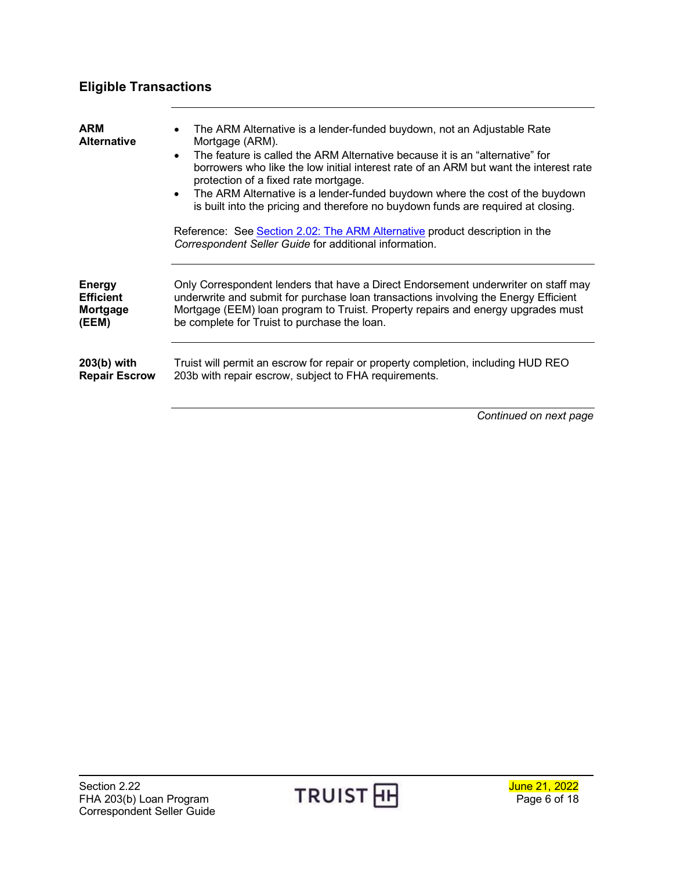# <span id="page-5-0"></span>**Eligible Transactions**

<span id="page-5-3"></span><span id="page-5-2"></span><span id="page-5-1"></span>

| <b>ARM</b><br><b>Alternative</b> | The ARM Alternative is a lender-funded buydown, not an Adjustable Rate<br>Mortgage (ARM).<br>The feature is called the ARM Alternative because it is an "alternative" for<br>$\bullet$<br>borrowers who like the low initial interest rate of an ARM but want the interest rate<br>protection of a fixed rate mortgage.<br>The ARM Alternative is a lender-funded buydown where the cost of the buydown<br>$\bullet$<br>is built into the pricing and therefore no buydown funds are required at closing.<br>Reference: See Section 2.02: The ARM Alternative product description in the<br>Correspondent Seller Guide for additional information. |
|----------------------------------|----------------------------------------------------------------------------------------------------------------------------------------------------------------------------------------------------------------------------------------------------------------------------------------------------------------------------------------------------------------------------------------------------------------------------------------------------------------------------------------------------------------------------------------------------------------------------------------------------------------------------------------------------|
| <b>Energy</b>                    | Only Correspondent lenders that have a Direct Endorsement underwriter on staff may                                                                                                                                                                                                                                                                                                                                                                                                                                                                                                                                                                 |
| <b>Efficient</b>                 | underwrite and submit for purchase loan transactions involving the Energy Efficient                                                                                                                                                                                                                                                                                                                                                                                                                                                                                                                                                                |
| Mortgage                         | Mortgage (EEM) loan program to Truist. Property repairs and energy upgrades must                                                                                                                                                                                                                                                                                                                                                                                                                                                                                                                                                                   |
| (EEM)                            | be complete for Truist to purchase the loan.                                                                                                                                                                                                                                                                                                                                                                                                                                                                                                                                                                                                       |
| 203(b) with                      | Truist will permit an escrow for repair or property completion, including HUD REO                                                                                                                                                                                                                                                                                                                                                                                                                                                                                                                                                                  |
| <b>Repair Escrow</b>             | 203b with repair escrow, subject to FHA requirements.                                                                                                                                                                                                                                                                                                                                                                                                                                                                                                                                                                                              |

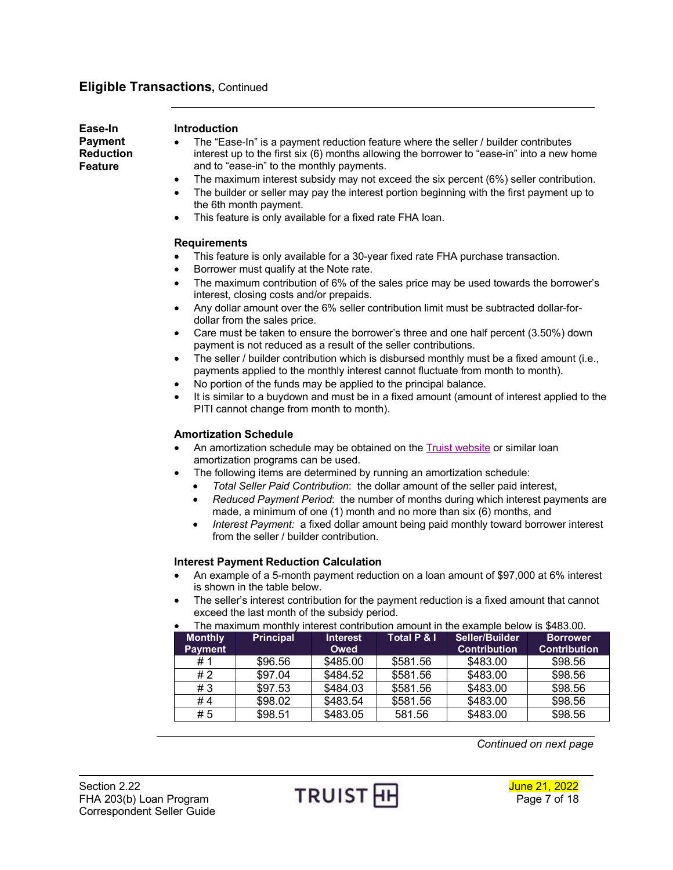### **Eligible Transactions,** Continued

<span id="page-6-0"></span>**Ease-In Payment Reduction Feature**

#### **Introduction**

- The "Ease-In" is a payment reduction feature where the seller / builder contributes interest up to the first six (6) months allowing the borrower to "ease-in" into a new home and to "ease-in" to the monthly payments.
- The maximum interest subsidy may not exceed the six percent (6%) seller contribution.
- The builder or seller may pay the interest portion beginning with the first payment up to the 6th month payment.
- This feature is only available for a fixed rate FHA loan.

#### **Requirements**

- This feature is only available for a 30-year fixed rate FHA purchase transaction.
- Borrower must qualify at the Note rate.
- The maximum contribution of 6% of the sales price may be used towards the borrower's interest, closing costs and/or prepaids.
- Any dollar amount over the 6% seller contribution limit must be subtracted dollar-fordollar from the sales price.
- Care must be taken to ensure the borrower's three and one half percent (3.50%) down payment is not reduced as a result of the seller contributions.
- $\bullet$  The seller / builder contribution which is disbursed monthly must be a fixed amount (i.e., payments applied to the monthly interest cannot fluctuate from month to month).
- No portion of the funds may be applied to the principal balance.
- It is similar to a buydown and must be in a fixed amount (amount of interest applied to the PITI cannot change from month to month).

#### **Amortization Schedule**

- An amortization schedule may be obtained on the Truist [website](http://www.suntrustmortgage.com/amortcalc.asp) or similar loan amortization programs can be used.
- The following items are determined by running an amortization schedule:
	- *Total Seller Paid Contribution*: the dollar amount of the seller paid interest,
	- *Reduced Payment Period*: the number of months during which interest payments are made, a minimum of one (1) month and no more than six (6) months, and
	- *Interest Payment:* a fixed dollar amount being paid monthly toward borrower interest from the seller / builder contribution.

#### **Interest Payment Reduction Calculation**

- An example of a 5-month payment reduction on a loan amount of \$97,000 at 6% interest is shown in the table below.
- The seller's interest contribution for the payment reduction is a fixed amount that cannot exceed the last month of the subsidy period.
- The maximum monthly interest contribution amount in the example below is \$483.00.

| <b>Monthly</b> | <b>Principal</b> | <b>Interest</b> | Total P & I | Seller/Builder      | <b>Borrower</b>     |
|----------------|------------------|-----------------|-------------|---------------------|---------------------|
| <b>Payment</b> |                  | Owed            |             | <b>Contribution</b> | <b>Contribution</b> |
| #1             | \$96.56          | \$485.00        | \$581.56    | \$483.00            | \$98.56             |
| #2             | \$97.04          | \$484.52        | \$581.56    | \$483.00            | \$98.56             |
| #3             | \$97.53          | \$484.03        | \$581.56    | \$483.00            | \$98.56             |
| #4             | \$98.02          | \$483.54        | \$581.56    | \$483.00            | \$98.56             |
| #5             | \$98.51          | \$483.05        | 581.56      | \$483.00            | \$98.56             |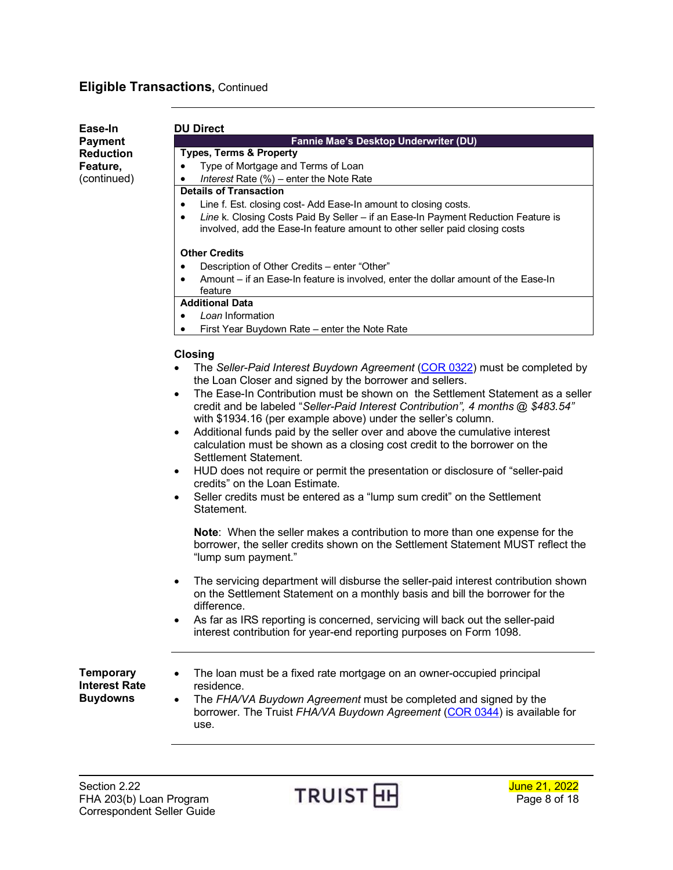# **Eligible Transactions,** Continued

<span id="page-7-0"></span>

| Ease-In                                  | <b>DU Direct</b>                                                                                                                                                                                                                                |  |  |
|------------------------------------------|-------------------------------------------------------------------------------------------------------------------------------------------------------------------------------------------------------------------------------------------------|--|--|
| <b>Payment</b>                           | Fannie Mae's Desktop Underwriter (DU)                                                                                                                                                                                                           |  |  |
| <b>Reduction</b>                         | <b>Types, Terms &amp; Property</b>                                                                                                                                                                                                              |  |  |
| Feature,                                 | Type of Mortgage and Terms of Loan<br>$\bullet$                                                                                                                                                                                                 |  |  |
| (continued)                              | Interest Rate (%) - enter the Note Rate<br>$\bullet$                                                                                                                                                                                            |  |  |
|                                          | <b>Details of Transaction</b>                                                                                                                                                                                                                   |  |  |
|                                          | Line f. Est. closing cost- Add Ease-In amount to closing costs.<br>$\bullet$                                                                                                                                                                    |  |  |
|                                          | Line k. Closing Costs Paid By Seller - if an Ease-In Payment Reduction Feature is<br>٠<br>involved, add the Ease-In feature amount to other seller paid closing costs                                                                           |  |  |
|                                          | <b>Other Credits</b>                                                                                                                                                                                                                            |  |  |
|                                          | Description of Other Credits - enter "Other"<br>٠                                                                                                                                                                                               |  |  |
|                                          | Amount – if an Ease-In feature is involved, enter the dollar amount of the Ease-In<br>feature                                                                                                                                                   |  |  |
|                                          | <b>Additional Data</b>                                                                                                                                                                                                                          |  |  |
|                                          | Loan Information<br>٠                                                                                                                                                                                                                           |  |  |
|                                          | First Year Buydown Rate - enter the Note Rate                                                                                                                                                                                                   |  |  |
|                                          | <b>Closing</b>                                                                                                                                                                                                                                  |  |  |
|                                          | The Seller-Paid Interest Buydown Agreement (COR 0322) must be completed by<br>٠<br>the Loan Closer and signed by the borrower and sellers.                                                                                                      |  |  |
|                                          | The Ease-In Contribution must be shown on the Settlement Statement as a seller<br>$\bullet$<br>credit and be labeled "Seller-Paid Interest Contribution", 4 months @ \$483.54"<br>with \$1934.16 (per example above) under the seller's column. |  |  |
|                                          | Additional funds paid by the seller over and above the cumulative interest<br>$\bullet$<br>calculation must be shown as a closing cost credit to the borrower on the<br>Settlement Statement.                                                   |  |  |
|                                          | HUD does not require or permit the presentation or disclosure of "seller-paid"<br>$\bullet$<br>credits" on the Loan Estimate.                                                                                                                   |  |  |
|                                          | Seller credits must be entered as a "lump sum credit" on the Settlement<br>٠<br>Statement.                                                                                                                                                      |  |  |
|                                          | <b>Note:</b> When the seller makes a contribution to more than one expense for the<br>borrower, the seller credits shown on the Settlement Statement MUST reflect the<br>"lump sum payment."                                                    |  |  |
|                                          | The servicing department will disburse the seller-paid interest contribution shown<br>$\bullet$<br>on the Settlement Statement on a monthly basis and bill the borrower for the<br>difference                                                   |  |  |
|                                          | As far as IRS reporting is concerned, servicing will back out the seller-paid<br>interest contribution for year-end reporting purposes on Form 1098.                                                                                            |  |  |
| <b>Temporary</b><br><b>Interest Rate</b> | The loan must be a fixed rate mortgage on an owner-occupied principal<br>residence.                                                                                                                                                             |  |  |
| <b>Buydowns</b>                          | The FHA/VA Buydown Agreement must be completed and signed by the<br>borrower. The Truist FHA/VA Buydown Agreement (COR 0344) is available for<br>use.                                                                                           |  |  |
|                                          |                                                                                                                                                                                                                                                 |  |  |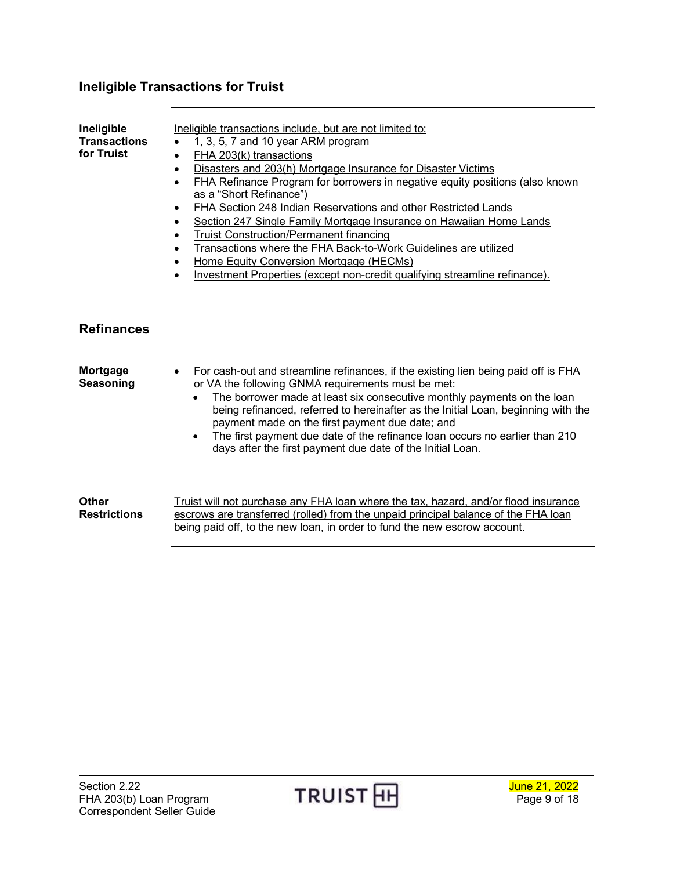# <span id="page-8-0"></span>**Ineligible Transactions for Truist**

<span id="page-8-2"></span><span id="page-8-1"></span>

| Ineligible<br><b>Transactions</b><br>for Truist | Ineligible transactions include, but are not limited to:<br>1, 3, 5, 7 and 10 year ARM program<br>$\bullet$<br>FHA 203(k) transactions<br>$\bullet$<br>Disasters and 203(h) Mortgage Insurance for Disaster Victims<br>$\bullet$<br>FHA Refinance Program for borrowers in negative equity positions (also known<br>$\bullet$<br>as a "Short Refinance")<br>FHA Section 248 Indian Reservations and other Restricted Lands<br>$\bullet$<br>Section 247 Single Family Mortgage Insurance on Hawaiian Home Lands<br><b>Truist Construction/Permanent financing</b><br>$\bullet$<br>Transactions where the FHA Back-to-Work Guidelines are utilized<br>Home Equity Conversion Mortgage (HECMs)<br>Investment Properties (except non-credit qualifying streamline refinance). |
|-------------------------------------------------|---------------------------------------------------------------------------------------------------------------------------------------------------------------------------------------------------------------------------------------------------------------------------------------------------------------------------------------------------------------------------------------------------------------------------------------------------------------------------------------------------------------------------------------------------------------------------------------------------------------------------------------------------------------------------------------------------------------------------------------------------------------------------|
| <b>Refinances</b>                               |                                                                                                                                                                                                                                                                                                                                                                                                                                                                                                                                                                                                                                                                                                                                                                           |
| Mortgage<br>Seasoning                           | For cash-out and streamline refinances, if the existing lien being paid off is FHA<br>or VA the following GNMA requirements must be met:<br>The borrower made at least six consecutive monthly payments on the loan<br>being refinanced, referred to hereinafter as the Initial Loan, beginning with the<br>payment made on the first payment due date; and<br>The first payment due date of the refinance loan occurs no earlier than 210<br>days after the first payment due date of the Initial Loan.                                                                                                                                                                                                                                                                  |
| <b>Other</b><br><b>Restrictions</b>             | Truist will not purchase any FHA loan where the tax, hazard, and/or flood insurance<br>escrows are transferred (rolled) from the unpaid principal balance of the FHA loan<br>being paid off, to the new loan, in order to fund the new escrow account.                                                                                                                                                                                                                                                                                                                                                                                                                                                                                                                    |

<span id="page-8-3"></span>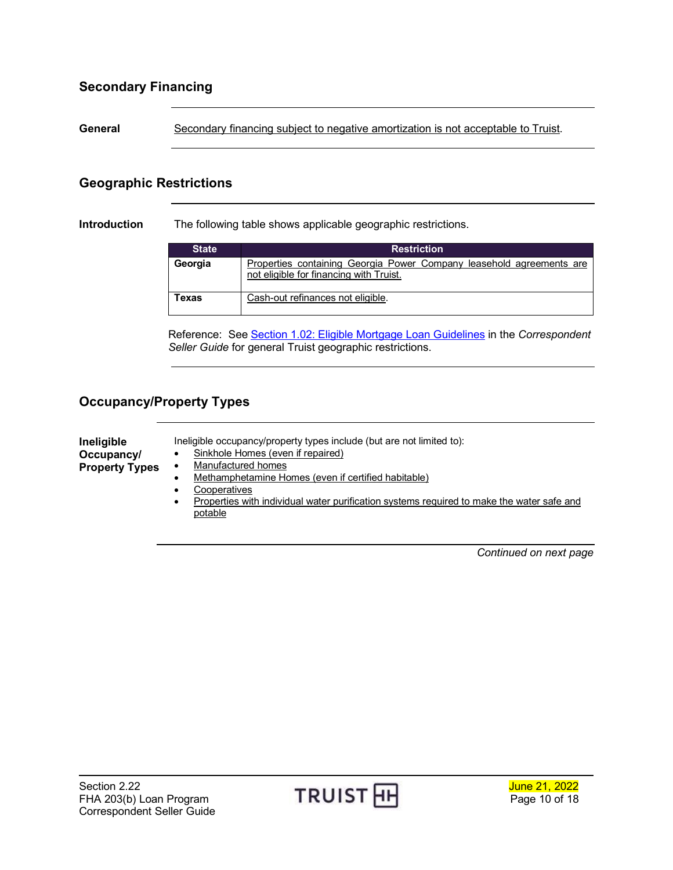## <span id="page-9-0"></span>**Secondary Financing**

General Secondary financing subject to negative amortization is not acceptable to Truist.

### <span id="page-9-1"></span>**Geographic Restrictions**

**Introduction** The following table shows applicable geographic restrictions.

| <b>State</b> | <b>Restriction</b>                                                                                              |
|--------------|-----------------------------------------------------------------------------------------------------------------|
| Georgia      | Properties containing Georgia Power Company leasehold agreements are<br>not eligible for financing with Truist. |
| Texas        | Cash-out refinances not eligible.                                                                               |

Reference: See [Section 1.02: Eligible Mortgage Loan Guidelines](https://www.truistsellerguide.com/manual/cor/general/1.02EligMtg.pdf) in the *Correspondent Seller Guide* for general Truist geographic restrictions.

## <span id="page-9-2"></span>**Occupancy/Property Types**

<span id="page-9-3"></span>

| Ineligible            | Ineligible occupancy/property types include (but are not limited to):                          |  |  |
|-----------------------|------------------------------------------------------------------------------------------------|--|--|
| Occupancy/            | Sinkhole Homes (even if repaired)                                                              |  |  |
| <b>Property Types</b> | Manufactured homes<br>٠                                                                        |  |  |
|                       | Methamphetamine Homes (even if certified habitable)                                            |  |  |
|                       | Cooperatives                                                                                   |  |  |
|                       | Properties with individual water purification systems required to make the water safe and<br>٠ |  |  |
|                       | potable                                                                                        |  |  |

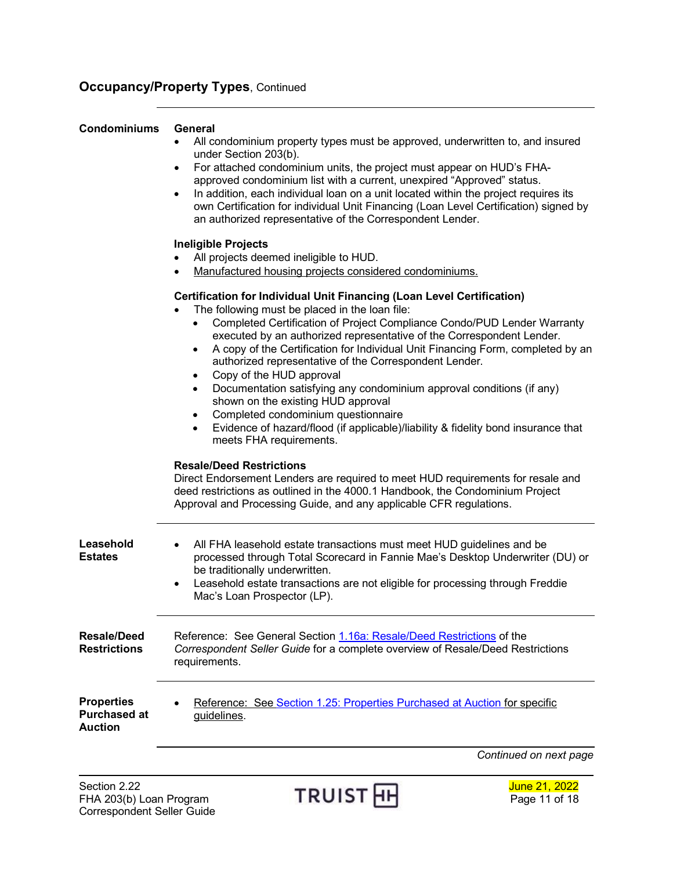### **Occupancy/Property Types, Continued**

#### <span id="page-10-0"></span>**Condominiums General**

- All condominium property types must be approved, underwritten to, and insured under Section 203(b).
- For attached condominium units, the project must appear on HUD's FHAapproved condominium list with a current, unexpired "Approved" status.
- In addition, each individual loan on a unit located within the project requires its own Certification for individual Unit Financing (Loan Level Certification) signed by an authorized representative of the Correspondent Lender.

#### **Ineligible Projects**

- All projects deemed ineligible to HUD.
- Manufactured housing projects considered condominiums.

#### **Certification for Individual Unit Financing (Loan Level Certification)**

- The following must be placed in the loan file:
	- Completed Certification of Project Compliance Condo/PUD Lender Warranty executed by an authorized representative of the Correspondent Lender.
	- A copy of the Certification for Individual Unit Financing Form, completed by an authorized representative of the Correspondent Lender.
	- Copy of the HUD approval
	- Documentation satisfying any condominium approval conditions (if any) shown on the existing HUD approval
	- Completed condominium questionnaire
	- Evidence of hazard/flood (if applicable)/liability & fidelity bond insurance that meets FHA requirements.

#### **Resale/Deed Restrictions**

Direct Endorsement Lenders are required to meet HUD requirements for resale and deed restrictions as outlined in the 4000.1 Handbook, the Condominium Project Approval and Processing Guide, and any applicable CFR regulations.

<span id="page-10-3"></span><span id="page-10-2"></span><span id="page-10-1"></span>

| Leasehold<br>Estates                                | All FHA leasehold estate transactions must meet HUD guidelines and be<br>$\bullet$<br>processed through Total Scorecard in Fannie Mae's Desktop Underwriter (DU) or<br>be traditionally underwritten.<br>Leasehold estate transactions are not eligible for processing through Freddie<br>$\bullet$<br>Mac's Loan Prospector (LP). |
|-----------------------------------------------------|------------------------------------------------------------------------------------------------------------------------------------------------------------------------------------------------------------------------------------------------------------------------------------------------------------------------------------|
| Resale/Deed<br><b>Restrictions</b>                  | Reference: See General Section 1.16a: Resale/Deed Restrictions of the<br>Correspondent Seller Guide for a complete overview of Resale/Deed Restrictions<br>requirements.                                                                                                                                                           |
| <b>Properties</b><br><b>Purchased at</b><br>Auction | Reference: See Section 1.25: Properties Purchased at Auction for specific<br>$\bullet$<br>guidelines.                                                                                                                                                                                                                              |
|                                                     | Continued on next page                                                                                                                                                                                                                                                                                                             |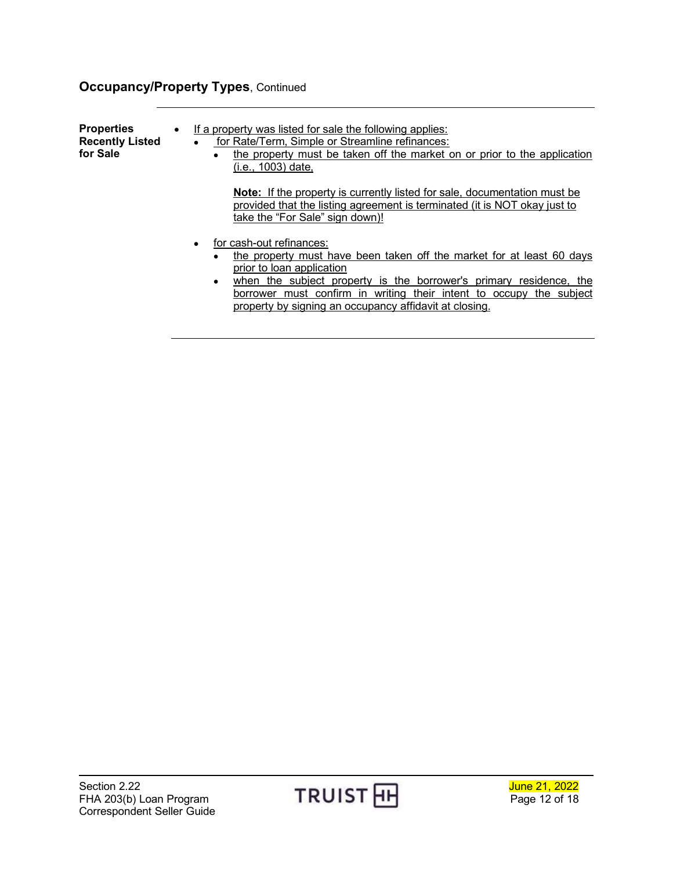# **Occupancy/Property Types, Continued**

<span id="page-11-0"></span>

| <b>Properties</b><br><b>Recently Listed</b><br>for Sale | $\bullet$ | If a property was listed for sale the following applies:<br>for Rate/Term, Simple or Streamline refinances:<br>$\bullet$<br>the property must be taken off the market on or prior to the application<br>$\bullet$<br>(i.e., 1003) date,                                                                                                         |  |
|---------------------------------------------------------|-----------|-------------------------------------------------------------------------------------------------------------------------------------------------------------------------------------------------------------------------------------------------------------------------------------------------------------------------------------------------|--|
|                                                         |           | <b>Note:</b> If the property is currently listed for sale, documentation must be<br>provided that the listing agreement is terminated (it is NOT okay just to<br>take the "For Sale" sign down)!                                                                                                                                                |  |
|                                                         |           | for cash-out refinances:<br>the property must have been taken off the market for at least 60 days<br>٠<br>prior to loan application<br>when the subject property is the borrower's primary residence, the<br>٠<br>borrower must confirm in writing their intent to occupy the subject<br>property by signing an occupancy affidavit at closing. |  |

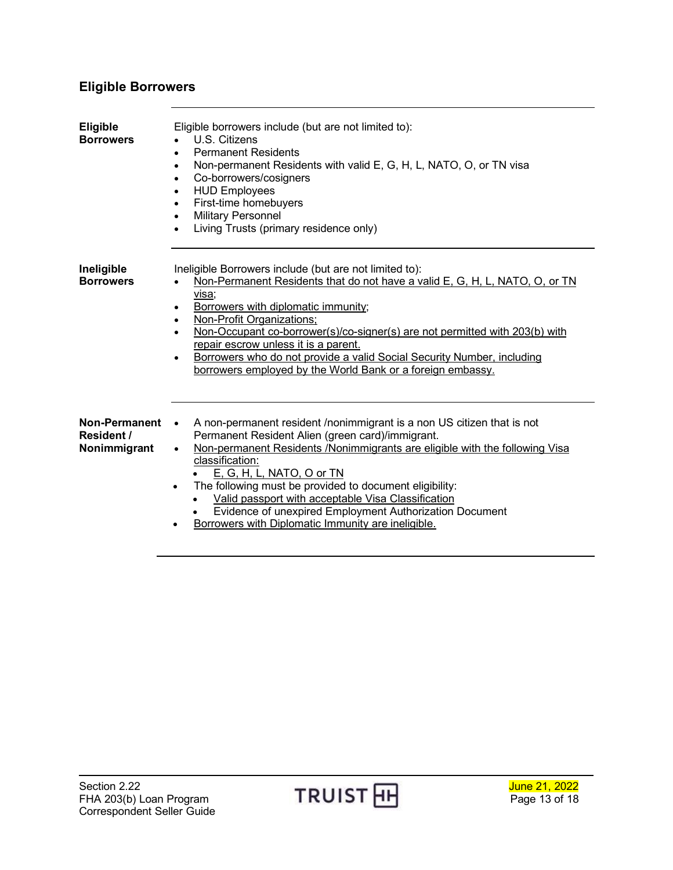## <span id="page-12-0"></span>**Eligible Borrowers**

<span id="page-12-3"></span><span id="page-12-2"></span><span id="page-12-1"></span>

| <b>Eligible</b><br><b>Borrowers</b>         | Eligible borrowers include (but are not limited to):<br>U.S. Citizens<br><b>Permanent Residents</b><br>$\bullet$<br>Non-permanent Residents with valid E, G, H, L, NATO, O, or TN visa<br>$\bullet$<br>Co-borrowers/cosigners<br>$\bullet$<br><b>HUD Employees</b><br>$\bullet$<br>First-time homebuyers<br>$\bullet$<br><b>Military Personnel</b><br>$\bullet$<br>Living Trusts (primary residence only)<br>$\bullet$                                                                                                                                 |  |
|---------------------------------------------|--------------------------------------------------------------------------------------------------------------------------------------------------------------------------------------------------------------------------------------------------------------------------------------------------------------------------------------------------------------------------------------------------------------------------------------------------------------------------------------------------------------------------------------------------------|--|
| Ineligible<br><b>Borrowers</b>              | Ineligible Borrowers include (but are not limited to):<br>Non-Permanent Residents that do not have a valid E, G, H, L, NATO, O, or TN<br>visa;<br>Borrowers with diplomatic immunity;<br>٠<br><b>Non-Profit Organizations:</b><br>$\bullet$<br>Non-Occupant co-borrower(s)/co-signer(s) are not permitted with 203(b) with<br>repair escrow unless it is a parent.<br>Borrowers who do not provide a valid Social Security Number, including<br>$\bullet$<br>borrowers employed by the World Bank or a foreign embassy.                                |  |
| Non-Permanent<br>Resident /<br>Nonimmigrant | A non-permanent resident /nonimmigrant is a non US citizen that is not<br>$\bullet$<br>Permanent Resident Alien (green card)/immigrant.<br>Non-permanent Residents /Nonimmigrants are eligible with the following Visa<br>$\bullet$<br>classification:<br><u>E, G, H, L, NATO, O or TN</u><br>The following must be provided to document eligibility:<br>$\bullet$<br>Valid passport with acceptable Visa Classification<br>Evidence of unexpired Employment Authorization Document<br>Borrowers with Diplomatic Immunity are ineligible.<br>$\bullet$ |  |

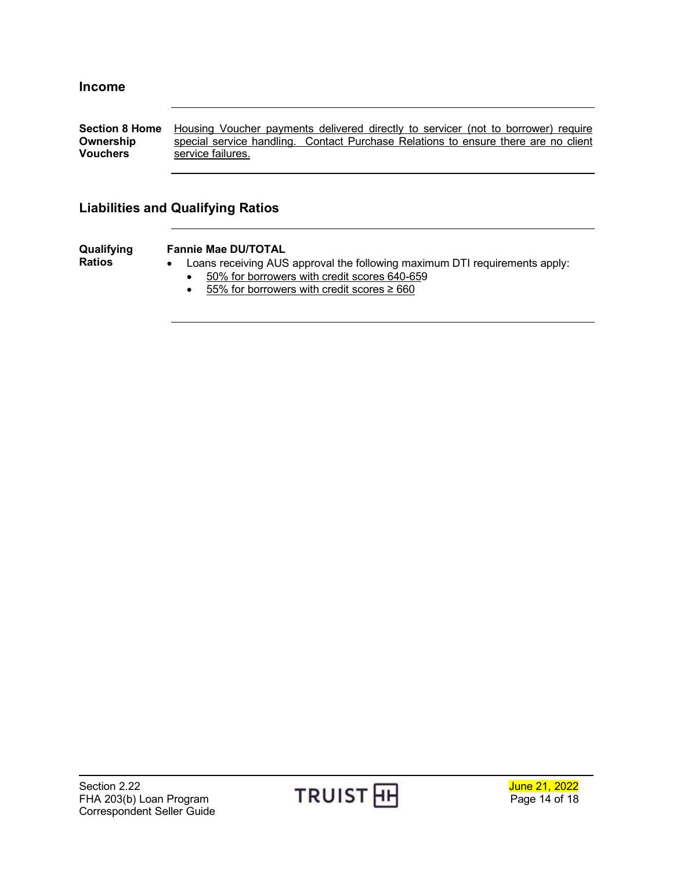<span id="page-13-1"></span><span id="page-13-0"></span>**Section 8 Home** Housing Voucher payments delivered directly to servicer (not to borrower) require **Ownership Vouchers** special service handling. Contact Purchase Relations to ensure there are no client service failures.

### <span id="page-13-2"></span>**Liabilities and Qualifying Ratios**

<span id="page-13-3"></span>**Qualifying Ratios** 

#### **Fannie Mae DU/TOTAL**

- Loans receiving AUS approval the following maximum DTI requirements apply:
	- 50% for borrowers with credit scores 640-659
	- 55% for borrowers with credit scores  $\geq 660$

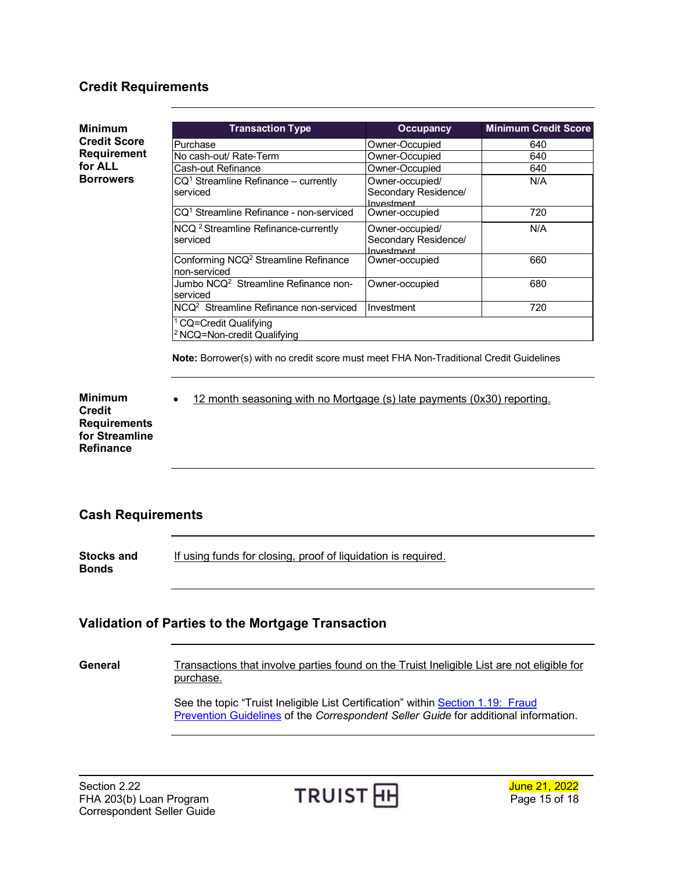#### <span id="page-14-0"></span>**Credit Requirements**

<span id="page-14-1"></span>**Minimum Credit Score Requirement for ALL Borrowers Transaction Type Occupancy Minimum Credit Score** Purchase Owner-Occupied 640 No cash-out/ Rate-Term More Coupied 640<br>
Cash-out Refinance Coupied Cash-out Refinance 640 Cash-out Refinance CQ1 Streamline Refinance – currently serviced Owner-occupied/ Secondary Residence/ Investment<br>Owner-occupied N/A CQ1 Streamline Refinance - non-serviced Owner-occupied 720 NCQ<sup>2</sup> Streamline Refinance-currently serviced Owner-occupied/ Secondary Residence/ Investment N/A Conforming NCQ<sup>2</sup> Streamline Refinance non-serviced Owner-occupied 660 Jumbo NCQ<sup>2</sup> Streamline Refinance nonserviced Owner-occupied **680** NCQ2 Streamline Refinance non-serviced Investment 720 CQ=Credit Qualifying 2 NCQ=Non-credit Qualifying **Note:** Borrower(s) with no credit score must meet FHA Non-Traditional Credit Guidelines

<span id="page-14-2"></span>**Minimum Credit Requirements for Streamline Refinance**

• 12 month seasoning with no Mortgage (s) late payments (0x30) reporting.

#### <span id="page-14-3"></span>**Cash Requirements**

<span id="page-14-4"></span>**Stocks and Bonds** If using funds for closing, proof of liquidation is required.

#### <span id="page-14-5"></span>**Validation of Parties to the Mortgage Transaction**

General Transactions that involve parties found on the Truist Ineligible List are not eligible for purchase.

> See the topic "Truist Ineligible List Certification" within Section 1.19: Fraud [Prevention Guidelines](https://www.truistsellerguide.com/manual/cor/general/1.19fraudpreventionguidelines.pdf) of the *Correspondent Seller Guide* for additional information.

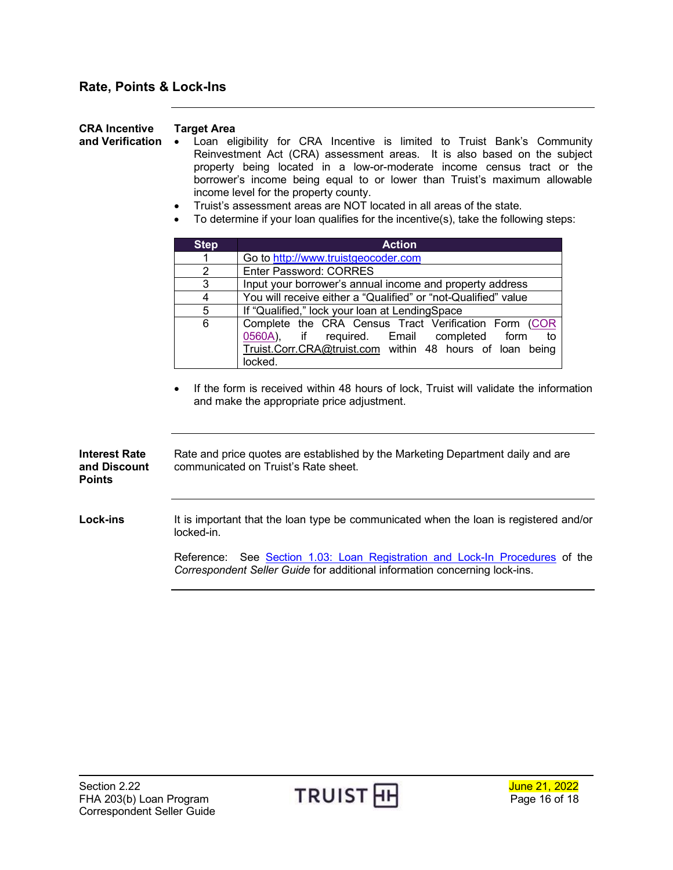## <span id="page-15-0"></span>**Rate, Points & Lock-Ins**

**Target Area**

<span id="page-15-1"></span>**CRA Incentive** 

<span id="page-15-2"></span>

| and Verification                                      | Loan eligibility for CRA Incentive is limited to Truist Bank's Community<br>Reinvestment Act (CRA) assessment areas. It is also based on the subject<br>property being located in a low-or-moderate income census tract or the<br>borrower's income being equal to or lower than Truist's maximum allowable<br>income level for the property county.<br>Truist's assessment areas are NOT located in all areas of the state.<br>To determine if your loan qualifies for the incentive(s), take the following steps: |  |  |  |
|-------------------------------------------------------|---------------------------------------------------------------------------------------------------------------------------------------------------------------------------------------------------------------------------------------------------------------------------------------------------------------------------------------------------------------------------------------------------------------------------------------------------------------------------------------------------------------------|--|--|--|
|                                                       | <b>Step</b><br><b>Action</b>                                                                                                                                                                                                                                                                                                                                                                                                                                                                                        |  |  |  |
|                                                       | Go to http://www.truistgeocoder.com<br>1                                                                                                                                                                                                                                                                                                                                                                                                                                                                            |  |  |  |
|                                                       | $\overline{2}$<br><b>Enter Password: CORRES</b>                                                                                                                                                                                                                                                                                                                                                                                                                                                                     |  |  |  |
|                                                       | 3<br>Input your borrower's annual income and property address                                                                                                                                                                                                                                                                                                                                                                                                                                                       |  |  |  |
|                                                       | $\overline{4}$<br>You will receive either a "Qualified" or "not-Qualified" value<br>$\overline{5}$<br>If "Qualified," lock your loan at LendingSpace                                                                                                                                                                                                                                                                                                                                                                |  |  |  |
|                                                       | $\overline{6}$<br>Complete the CRA Census Tract Verification Form (COR                                                                                                                                                                                                                                                                                                                                                                                                                                              |  |  |  |
|                                                       | required.<br>0560A),<br>Email<br>completed<br>form<br>if<br>to<br>Truist.Corr.CRA@truist.com within 48 hours of loan being<br>locked.                                                                                                                                                                                                                                                                                                                                                                               |  |  |  |
|                                                       | If the form is received within 48 hours of lock, Truist will validate the information<br>and make the appropriate price adjustment.                                                                                                                                                                                                                                                                                                                                                                                 |  |  |  |
| <b>Interest Rate</b><br>and Discount<br><b>Points</b> | Rate and price quotes are established by the Marketing Department daily and are<br>communicated on Truist's Rate sheet.                                                                                                                                                                                                                                                                                                                                                                                             |  |  |  |
| <b>Lock-ins</b>                                       | It is important that the loan type be communicated when the loan is registered and/or<br>locked-in.                                                                                                                                                                                                                                                                                                                                                                                                                 |  |  |  |
|                                                       | See Section 1.03: Loan Registration and Lock-In Procedures of the<br>Reference:<br>Correspondent Seller Guide for additional information concerning lock-ins.                                                                                                                                                                                                                                                                                                                                                       |  |  |  |
|                                                       |                                                                                                                                                                                                                                                                                                                                                                                                                                                                                                                     |  |  |  |

<span id="page-15-3"></span>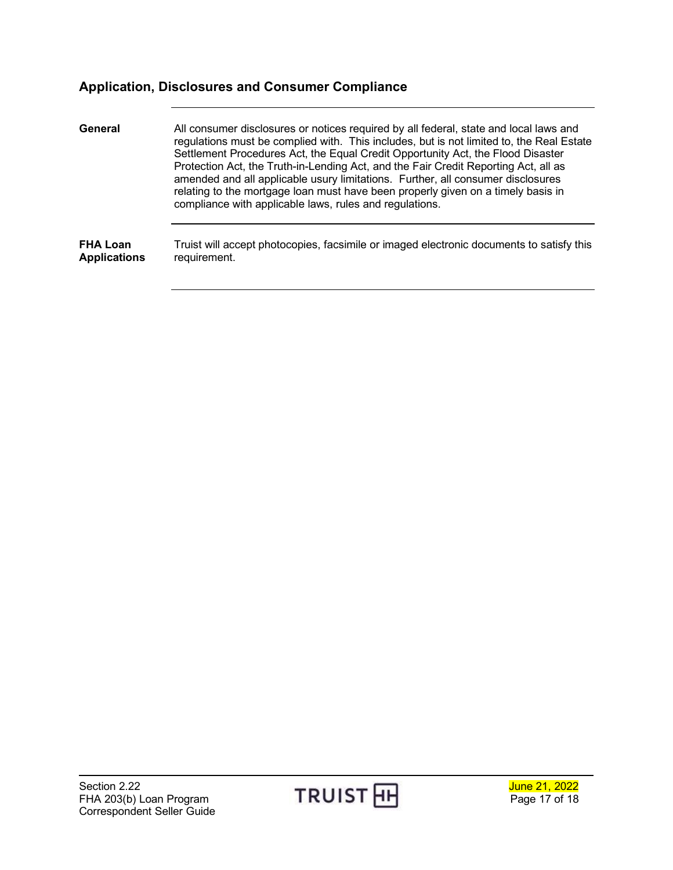## <span id="page-16-0"></span>**Application, Disclosures and Consumer Compliance**

<span id="page-16-2"></span><span id="page-16-1"></span>

| General             | All consumer disclosures or notices required by all federal, state and local laws and<br>regulations must be complied with. This includes, but is not limited to, the Real Estate<br>Settlement Procedures Act, the Equal Credit Opportunity Act, the Flood Disaster<br>Protection Act, the Truth-in-Lending Act, and the Fair Credit Reporting Act, all as<br>amended and all applicable usury limitations. Further, all consumer disclosures<br>relating to the mortgage loan must have been properly given on a timely basis in<br>compliance with applicable laws, rules and regulations. |
|---------------------|-----------------------------------------------------------------------------------------------------------------------------------------------------------------------------------------------------------------------------------------------------------------------------------------------------------------------------------------------------------------------------------------------------------------------------------------------------------------------------------------------------------------------------------------------------------------------------------------------|
| <b>FHA Loan</b>     | Truist will accept photocopies, facsimile or imaged electronic documents to satisfy this                                                                                                                                                                                                                                                                                                                                                                                                                                                                                                      |
| <b>Applications</b> | requirement.                                                                                                                                                                                                                                                                                                                                                                                                                                                                                                                                                                                  |